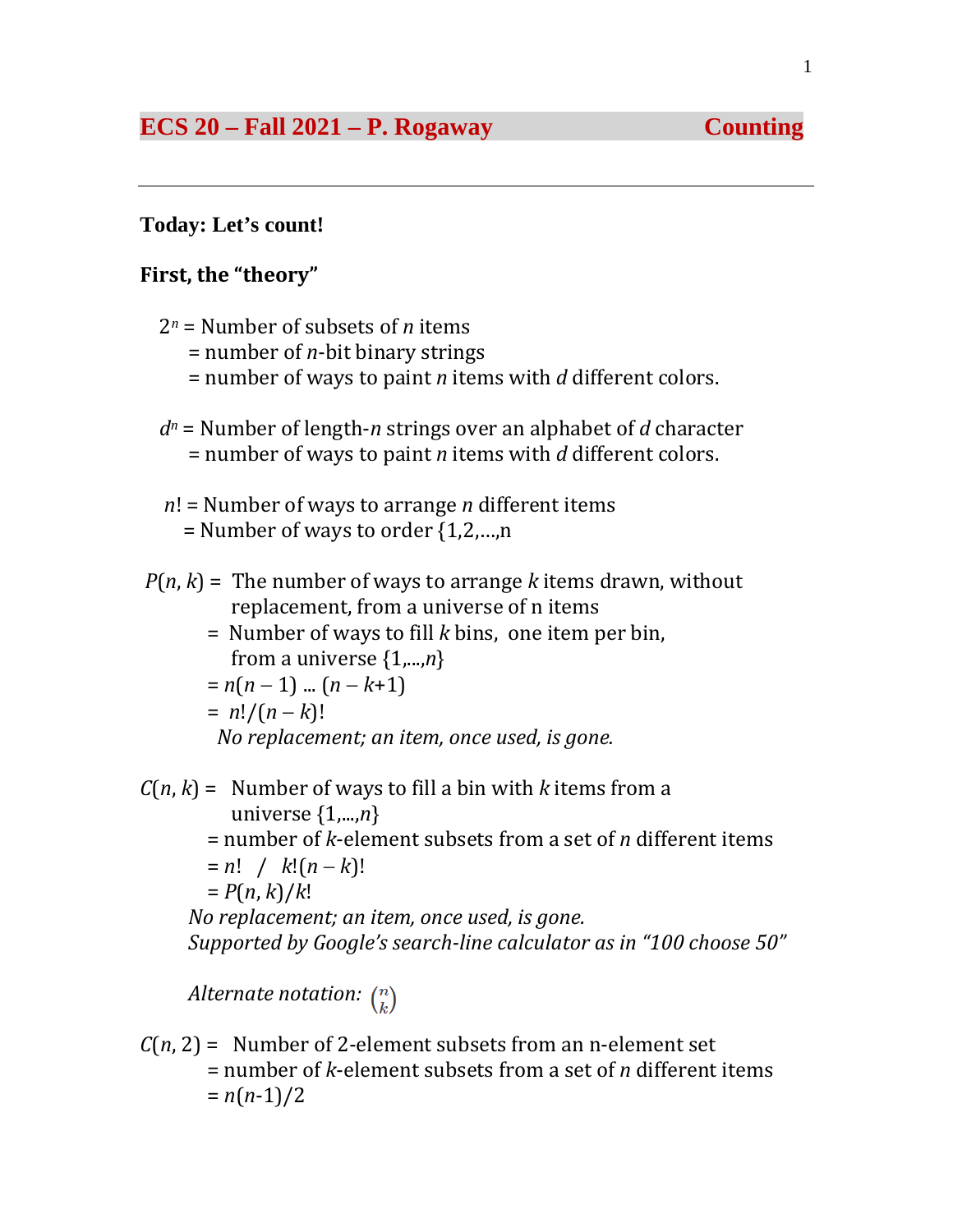## **Today: Let's count!**

## **First, the "theory"**

- 2*<sup>n</sup>* = Number of subsets of *n* items
	- = number of *n*-bit binary strings
	- = number of ways to paint *n* items with *d* different colors.
- *dn* = Number of length-*n* strings over an alphabet of *d* character = number of ways to paint *n* items with *d* different colors.
- *n*! = Number of ways to arrange *n* different items  $=$  Number of ways to order  $\{1,2,...,n\}$
- $P(n, k)$  = The number of ways to arrange *k* items drawn, without replacement, from a universe of n items
	- = Number of ways to fill *k* bins, one item per bin, from a universe {1,...,*n*} = *n*(*n* − 1) ... (*n* − *k*+1)  $= n!/(n-k)!$  *No replacement; an item, once used, is gone.*

 $C(n, k)$  = Number of ways to fill a bin with *k* items from a universe {1,...,*n*}

 = number of *k*-element subsets from a set of *n* different items = *n*! / *k*!(*n* − *k*)!

$$
= P(n,k)/k!
$$

 *No replacement; an item, once used, is gone. Supported by Google's search-line calculator as in "100 choose 50"*

*Alternate notation:*  $\binom{n}{k}$ 

 $C(n, 2)$  = Number of 2-element subsets from an n-element set = number of *k*-element subsets from a set of *n* different items  $= n(n-1)/2$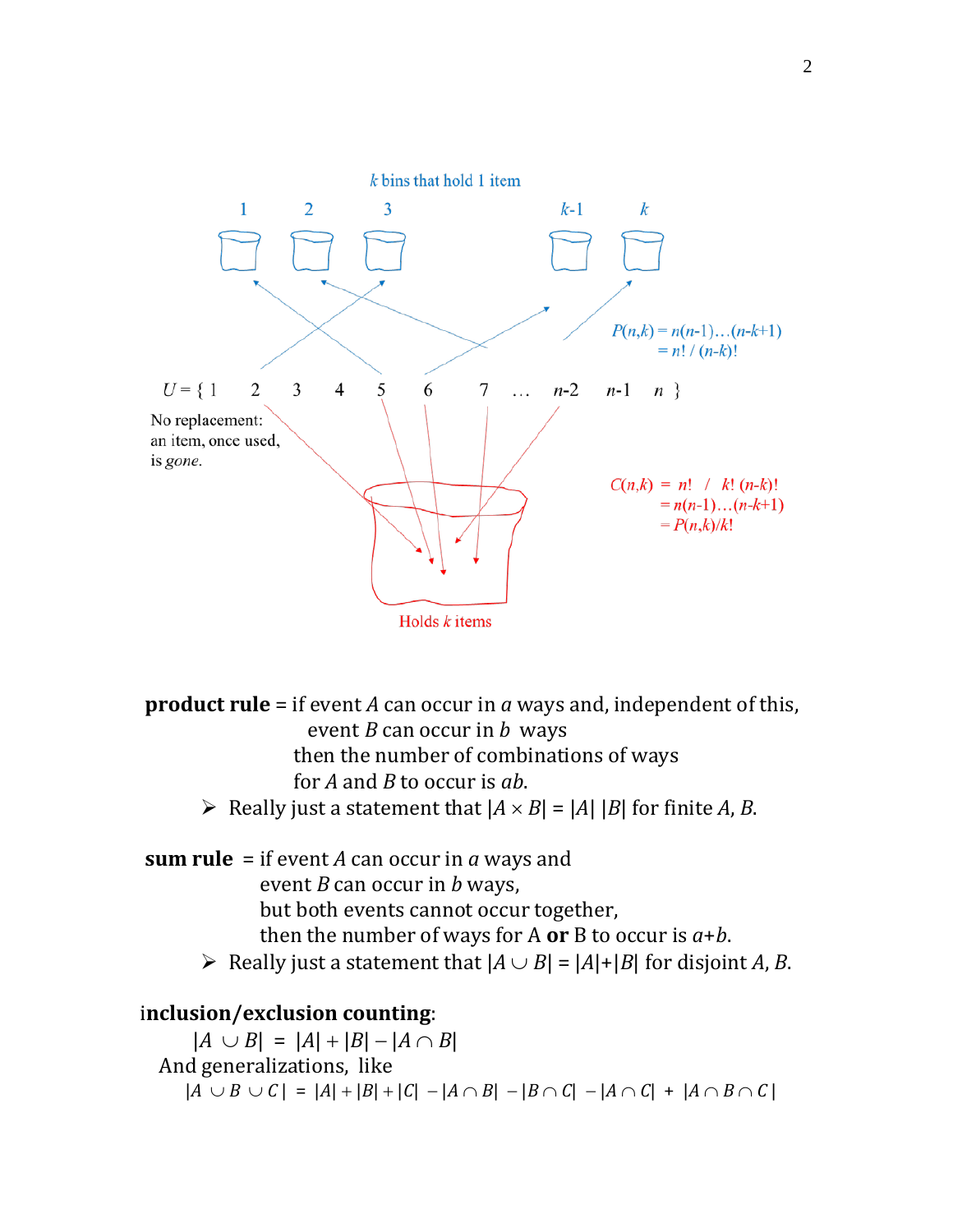

**product rule** = if event *A* can occur in *a* ways and, independent of this, event *B* can occur in *b* ways then the number of combinations of ways for *A* and *B* to occur is *ab*.

- $\triangleright$  Really just a statement that  $|A \times B| = |A| |B|$  for finite *A*, *B*.
- **sum rule** = if event *A* can occur in *a* ways and event *B* can occur in *b* ways, but both events cannot occur together, then the number of ways for A or B to occur is  $a+b$ .
	- $\triangleright$  Really just a statement that  $|A \cup B| = |A| + |B|$  for disjoint *A*, *B*.

# i**nclusion/exclusion counting**:

 $|A \cup B| = |A| + |B| - |A \cap B|$  And generalizations, like  $|A ∪ B ∪ C| = |A| + |B| + |C| - |A ∩ B| - |B ∩ C| - |A ∩ C| + |A ∩ B ∩ C|$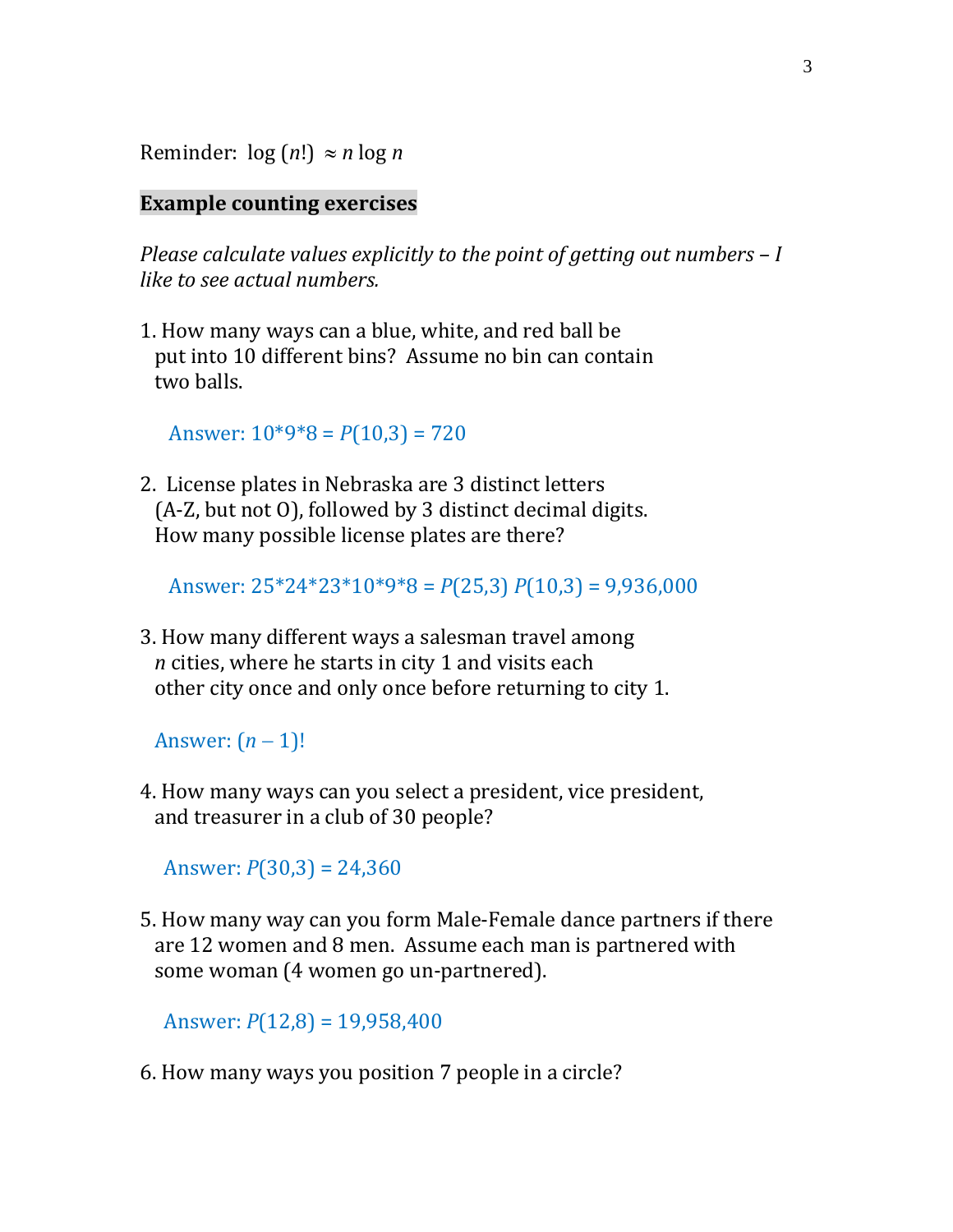Reminder:  $log (n!) \approx n log n$ 

### **Example counting exercises**

*Please calculate values explicitly to the point of getting out numbers – I like to see actual numbers.*

1. How many ways can a blue, white, and red ball be put into 10 different bins? Assume no bin can contain two balls.

Answer: 10\*9\*8 = *P*(10,3) = 720

2. License plates in Nebraska are 3 distinct letters (A-Z, but not O), followed by 3 distinct decimal digits. How many possible license plates are there?

Answer: 25\*24\*23\*10\*9\*8 = *P*(25,3) *P*(10,3) = 9,936,000

3. How many different ways a salesman travel among *n* cities, where he starts in city 1 and visits each other city once and only once before returning to city 1.

Answer: (*n* − 1)!

4. How many ways can you select a president, vice president, and treasurer in a club of 30 people?

Answer: *P*(30,3) = 24,360

5. How many way can you form Male-Female dance partners if there are 12 women and 8 men. Assume each man is partnered with some woman (4 women go un-partnered).

Answer: *P*(12,8) = 19,958,400

6. How many ways you position 7 people in a circle?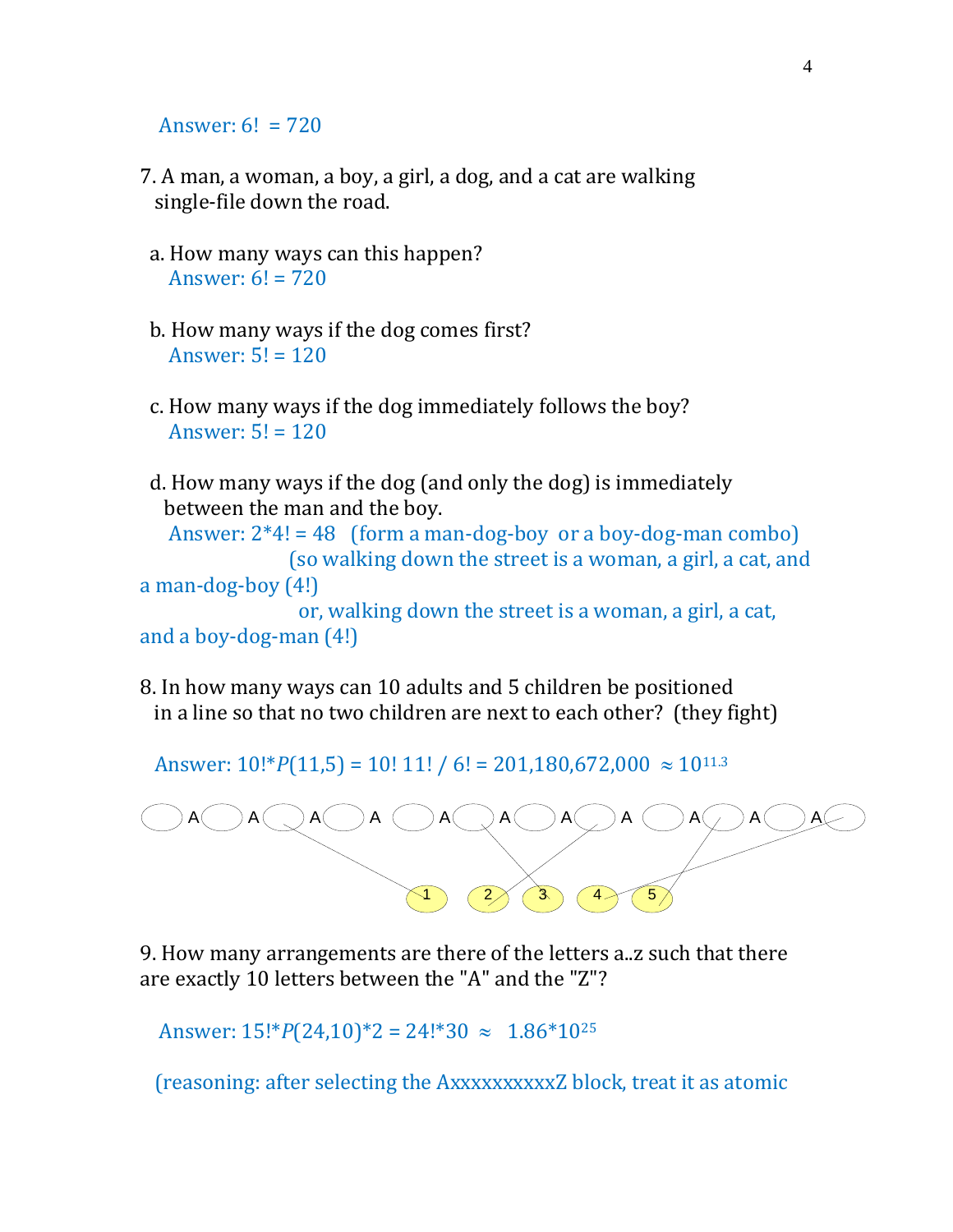Answer:  $6! = 720$ 

- 7. A man, a woman, a boy, a girl, a dog, and a cat are walking single-file down the road.
- a. How many ways can this happen? Answer:  $6! = 720$
- b. How many ways if the dog comes first? Answer:  $5! = 120$
- c. How many ways if the dog immediately follows the boy? Answer:  $5! = 120$
- d. How many ways if the dog (and only the dog) is immediately between the man and the boy.

Answer:  $2*4! = 48$  (form a man-dog-boy or a boy-dog-man combo) (so walking down the street is a woman, a girl, a cat, and

a man-dog-boy (4!)

 or, walking down the street is a woman, a girl, a cat, and a boy-dog-man (4!)

8. In how many ways can 10 adults and 5 children be positioned in a line so that no two children are next to each other? (they fight)

Answer:  $10$ !\* $P(11,5) = 10$ ! 11! / 6! = 201,180,672,000  $\approx 10^{11.3}$ 



9. How many arrangements are there of the letters a..z such that there are exactly 10 letters between the "A" and the "Z"?

Answer:  $15!^{*}P(24,10)^{*}2 = 24!^{*}30 \approx 1.86^{*}10^{25}$ 

(reasoning: after selecting the AxxxxxxxxxxZ block, treat it as atomic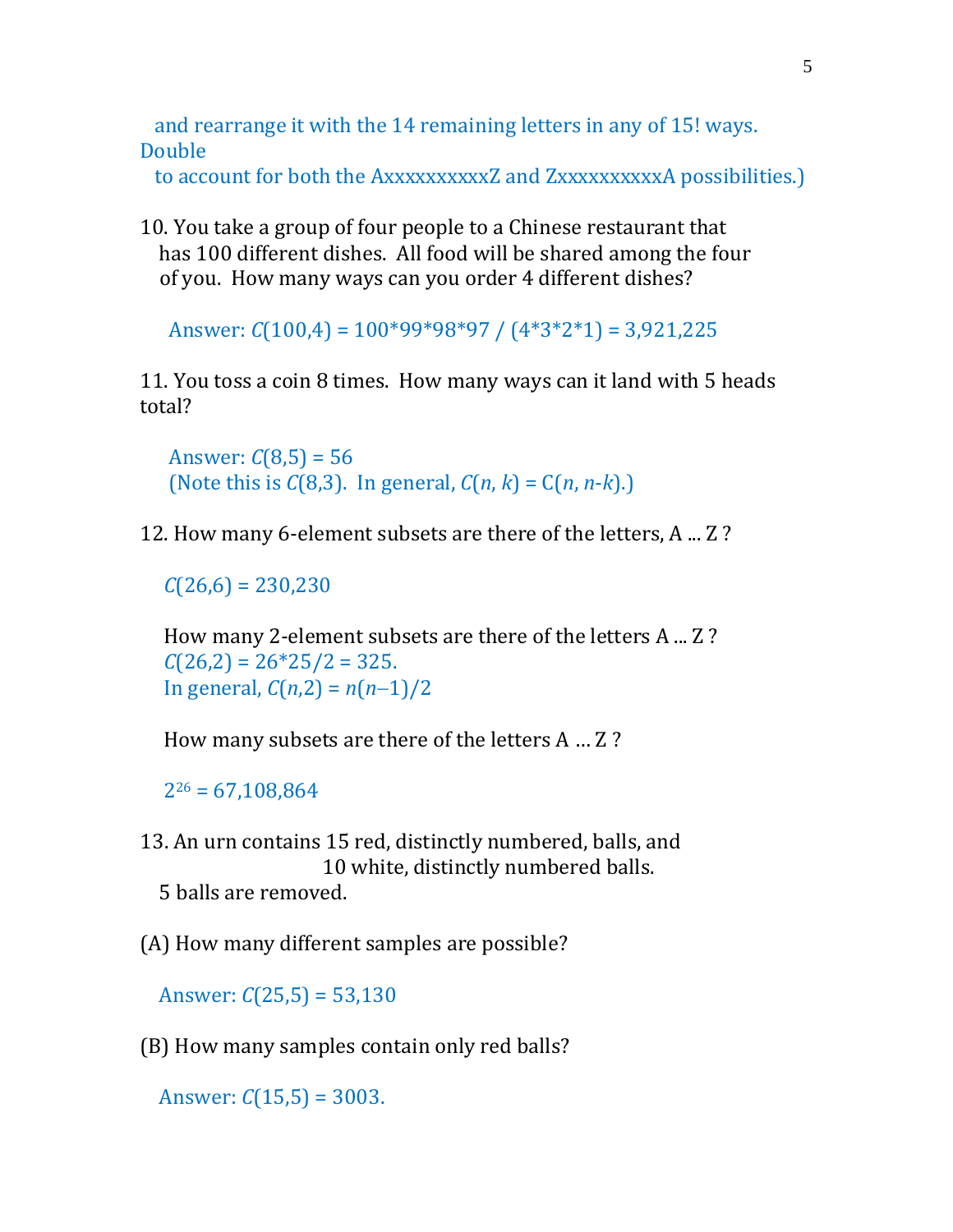and rearrange it with the 14 remaining letters in any of 15! ways. Double

to account for both the AxxxxxxxxxxZ and ZxxxxxxxxxxA possibilities.)

10. You take a group of four people to a Chinese restaurant that has 100 different dishes. All food will be shared among the four of you. How many ways can you order 4 different dishes?

Answer: *C*(100,4) = 100\*99\*98\*97 / (4\*3\*2\*1) = 3,921,225

11. You toss a coin 8 times. How many ways can it land with 5 heads total?

Answer:  $C(8,5) = 56$ (Note this is *C*(8,3). In general, *C*(*n*, *k*) = C(*n*, *n*-*k*).)

12. How many 6-element subsets are there of the letters, A ... Z ?

 $C(26,6) = 230,230$ 

 How many 2-element subsets are there of the letters A ... Z ?  $C(26,2) = 26*25/2 = 325.$ In general, *C*(*n*,2) = *n*(*n*−1)/2

How many subsets are there of the letters A … Z ?

 $2^{26} = 67,108,864$ 

- 13. An urn contains 15 red, distinctly numbered, balls, and 10 white, distinctly numbered balls. 5 balls are removed.
- (A) How many different samples are possible?

Answer: *C*(25,5) = 53,130

(B) How many samples contain only red balls?

Answer: *C*(15,5) = 3003.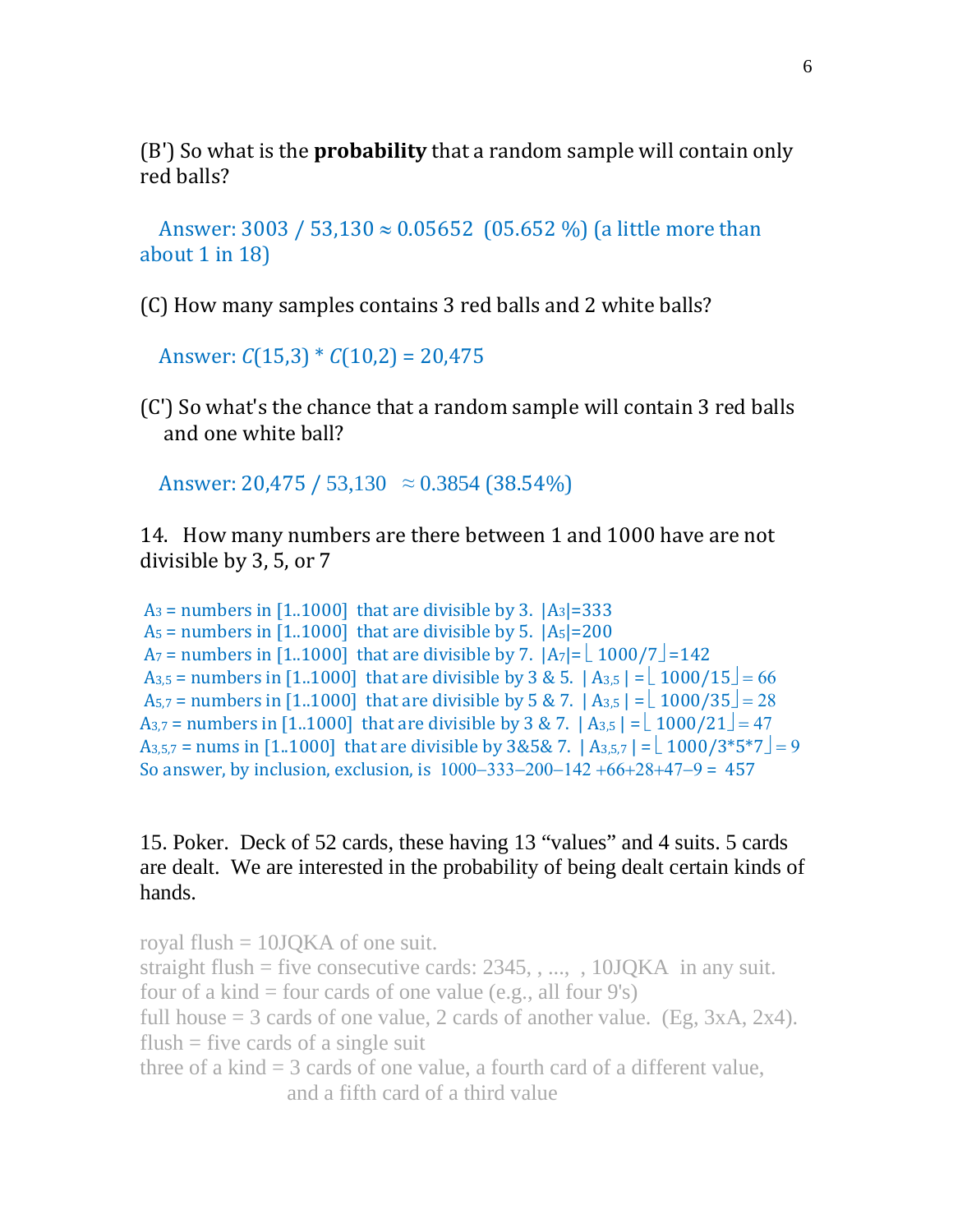(B') So what is the **probability** that a random sample will contain only red balls?

Answer: 3003 / 53,130  $\approx$  0.05652 (05.652 %) (a little more than about 1 in 18)

(C) How many samples contains 3 red balls and 2 white balls?

Answer: *C*(15,3) \* *C*(10,2) = 20,475

(C') So what's the chance that a random sample will contain 3 red balls and one white ball?

Answer: 20,475 / 53,130  $\approx 0.3854$  (38.54%)

14. How many numbers are there between 1 and 1000 have are not divisible by 3, 5, or 7

 $A_3$  = numbers in [1..1000] that are divisible by 3.  $|A_3|=333$  $A_5$  = numbers in [1..1000] that are divisible by 5.  $|A_5|=200$  $A_7$  = numbers in [1..1000] that are divisible by 7.  $|A_7| = \lfloor 1000/7 \rfloor = 142$ A<sub>3,5</sub> = numbers in [1..1000] that are divisible by 3 & 5.  $|A_{3,5}| = \lfloor 1000/15 \rfloor = 66$ A<sub>5,7</sub> = numbers in [1..1000] that are divisible by 5 & 7.  $|A_{3,5}| = \lfloor 1000/35 \rfloor = 28$ A<sub>3,7</sub> = numbers in [1..1000] that are divisible by 3 & 7.  $|A_{3,5}| = \lfloor 1000/21 \rfloor = 47$  $A_{3,5,7}$  = nums in [1..1000] that are divisible by 3&5& 7.  $|A_{3,5,7}| = \lfloor 1000/3 \cdot 5 \cdot 7 \rfloor = 9$ So answer, by inclusion, exclusion, is 1000−333−200−142 +66+28+47−9 = 457

## 15. Poker. Deck of 52 cards, these having 13 "values" and 4 suits. 5 cards are dealt. We are interested in the probability of being dealt certain kinds of hands.

```
royal flush = 10JQKA of one suit.
straight flush = five consecutive cards: 2345, \ldots, 10JOKA in any suit.
four of a kind = four cards of one value (e.g., all four 9's)
full house = 3 cards of one value, 2 cards of another value. (Eg, 3xA, 2x4).
flush = five cards of a single suit
three of a kind = 3 cards of one value, a fourth card of a different value,
                  and a fifth card of a third value
```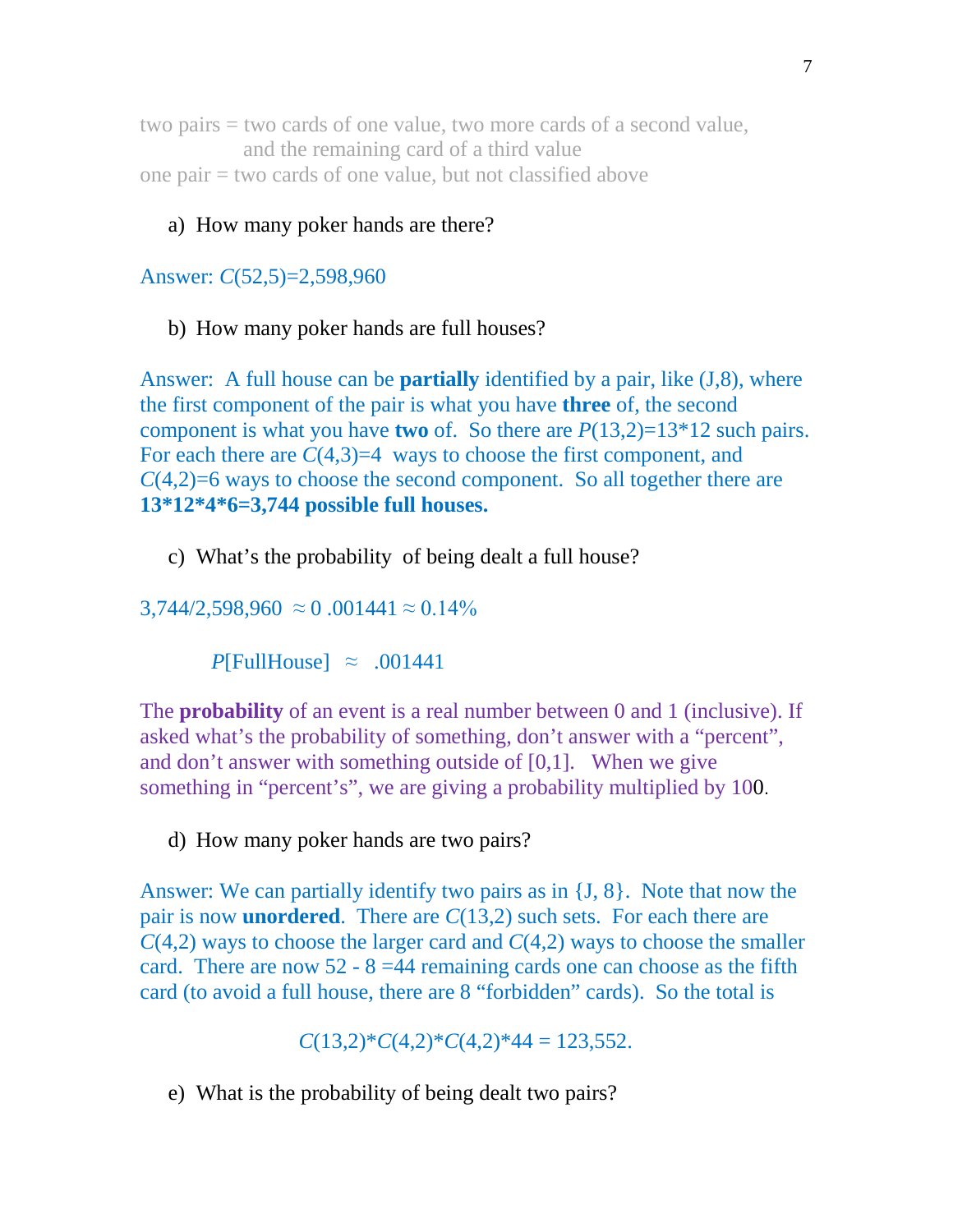two pairs = two cards of one value, two more cards of a second value, and the remaining card of a third value one pair = two cards of one value, but not classified above

## a) How many poker hands are there?

Answer: *C*(52,5)=2,598,960

b) How many poker hands are full houses?

Answer: A full house can be **partially** identified by a pair, like (J,8), where the first component of the pair is what you have **three** of, the second component is what you have **two** of. So there are *P*(13,2)=13\*12 such pairs. For each there are  $C(4,3)=4$  ways to choose the first component, and *C*(4,2)=6 ways to choose the second component. So all together there are **13\*12\*4\*6=3,744 possible full houses.**

c) What's the probability of being dealt a full house?

 $3,744/2,598,960 \approx 0.001441 \approx 0.14\%$ 

*P*[FullHouse]  $\approx .001441$ 

The **probability** of an event is a real number between 0 and 1 (inclusive). If asked what's the probability of something, don't answer with a "percent", and don't answer with something outside of [0,1]. When we give something in "percent's", we are giving a probability multiplied by 100.

d) How many poker hands are two pairs?

Answer: We can partially identify two pairs as in {J, 8}. Note that now the pair is now **unordered**. There are *C*(13,2) such sets. For each there are *C*(4,2) ways to choose the larger card and *C*(4,2) ways to choose the smaller card. There are now  $52 - 8 = 44$  remaining cards one can choose as the fifth card (to avoid a full house, there are 8 "forbidden" cards). So the total is

$$
C(13,2)^*C(4,2)^*C(4,2)^*44 = 123,552.
$$

e) What is the probability of being dealt two pairs?